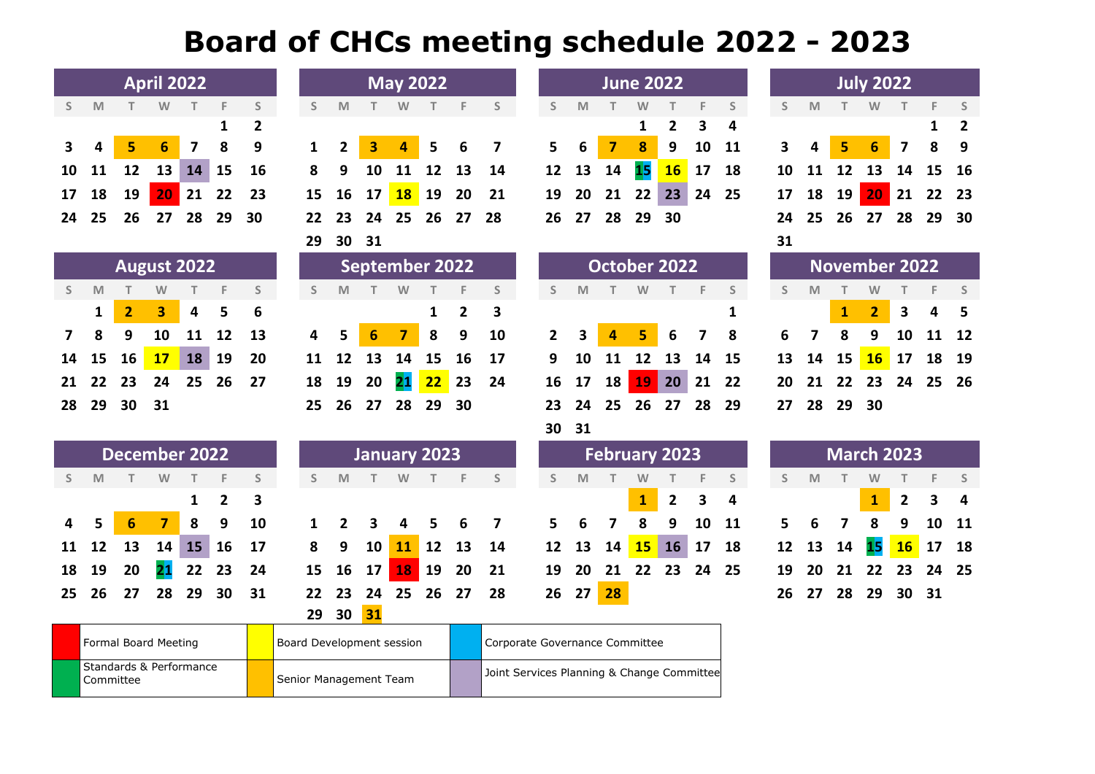## **Board of CHCs meeting schedule 2022 - 2023**

|    | <b>April 2022</b><br><b>May 2022</b>              |                |                |              |    |                |              |                        |                 |                         |                                |                         | <b>June 2022</b> |                                            |              |              |                |              | <b>July 2022</b> |                   |             |                      |    |              |                 |              |    |              |
|----|---------------------------------------------------|----------------|----------------|--------------|----|----------------|--------------|------------------------|-----------------|-------------------------|--------------------------------|-------------------------|------------------|--------------------------------------------|--------------|--------------|----------------|--------------|------------------|-------------------|-------------|----------------------|----|--------------|-----------------|--------------|----|--------------|
| S. | M                                                 |                | W              |              | F  | S              | S            | M                      |                 | W                       |                                | F                       | S                |                                            | S            | M            |                | W            |                  | F                 | S           | S                    | M  |              | W               | т            | F  | S            |
|    |                                                   |                |                |              | 1  | $\overline{2}$ |              |                        |                 |                         |                                |                         |                  |                                            |              |              |                | 1            | $\overline{2}$   | 3                 | 4           |                      |    |              |                 |              | 1  | $\mathbf{2}$ |
| 3  | 4                                                 | 5              | 6              | 7            | 8  | 9              | $\mathbf{1}$ | $\overline{2}$         | 3               | 4                       | 5                              | 6                       | 7                |                                            | 5            | 6            | $\overline{7}$ | 8            | 9                | 10                | 11          | 3                    |    | 5            | $6\phantom{1}6$ | 7            | 8  | 9            |
| 10 | 11                                                | 12             | 13             | 14           | 15 | 16             | 8            | 9                      | 10              | 11                      | 12                             | 13                      | 14               |                                            | 12           | 13           | 14             | 15           | <b>16</b>        | 17                | 18          | 10                   | 11 | 12           | 13              | 14           | 15 | 16           |
| 17 | 18                                                | 19             | 20             | 21           | 22 | 23             | 15           | 16                     | 17              | <b>18</b>               | 19                             | 20                      | 21               |                                            | 19           | 20           | 21             | 22           | 23               | 24                | 25          | 17                   | 18 | 19           | 20              | 21           | 22 | 23           |
| 24 | 25                                                | 26             | 27             | 28           | 29 | 30             | 22           | 23                     | 24              | 25                      | 26                             | 27                      | 28               |                                            | 26           | 27           | 28             | 29           | 30               |                   |             | 24                   | 25 | 26           | 27              | 28           | 29 | 30           |
|    |                                                   |                |                |              |    |                | 29           | 30                     | 31              |                         |                                |                         |                  |                                            |              |              |                |              |                  |                   |             | 31                   |    |              |                 |              |    |              |
|    | <b>August 2022</b><br><b>September 2022</b>       |                |                |              |    |                |              |                        |                 |                         |                                |                         |                  |                                            |              | October 2022 |                |              |                  |                   |             | <b>November 2022</b> |    |              |                 |              |    |              |
| S  | M                                                 |                | W              |              | F  | S              | S            | M                      |                 | W                       |                                |                         | $\mathsf S$      |                                            | S            | M            |                | W            |                  | F                 | $\mathsf S$ | S                    | M  | т            | W               |              | F  | S            |
|    | 1                                                 | $\overline{2}$ | 3              | 4            | 5  | 6              |              |                        |                 |                         | $\mathbf{1}$                   | $\overline{\mathbf{2}}$ | 3                |                                            |              |              |                |              |                  |                   | 1           |                      |    | $\mathbf{1}$ | $\overline{2}$  | 3            | 4  | 5            |
| 7  | 8                                                 | 9              | 10             | 11           | 12 | 13             | 4            | 5                      | $6\phantom{1}6$ | $\overline{\mathbf{z}}$ | 8                              | 9                       | 10               |                                            | $\mathbf{2}$ | 3            | 4              | 5            | 6                | 7                 | 8           | 6                    | 7  | 8            | 9               | 10           | 11 | 12           |
| 14 | 15                                                | 16             | 17             | 18           | 19 | 20             | 11           | 12                     | 13              | 14                      | 15                             | 16                      | 17               |                                            | 9            | 10           | 11             | 12           | 13               | 14                | 15          | 13                   | 14 | 15           | <b>16</b>       | 17           | 18 | 19           |
| 21 | 22                                                | 23             | 24             | 25           | 26 | 27             | 18           | 19                     | 20              | 21                      | 22                             | 23                      | 24               |                                            | 16           | 17           | 18             | <b>19</b>    | 20               | 21                | 22          | 20                   | 21 | 22           | 23              | 24           | 25 | 26           |
| 28 | 29                                                | 30             | 31             |              |    |                | 25           | 26                     | 27              | 28                      | 29                             | 30                      |                  |                                            | 23           | 24           | 25             | 26           | 27               | 28                | 29          | 27                   | 28 | 29           | 30              |              |    |              |
|    |                                                   |                |                |              |    |                |              |                        |                 |                         |                                |                         |                  |                                            | 30           | 31           |                |              |                  |                   |             |                      |    |              |                 |              |    |              |
|    | <b>December 2022</b><br><b>January 2023</b>       |                |                |              |    |                |              |                        |                 |                         |                                | <b>February 2023</b>    |                  |                                            |              |              |                |              |                  | <b>March 2023</b> |             |                      |    |              |                 |              |    |              |
| S. | M                                                 | T.             | W              | $\mathbb{T}$ | F  | S              | S            | M                      | T.              | W                       | T.                             | F                       | S                |                                            | S.           | M            | T.             | W            | т                | F                 | S           | S                    | M  | $\top$       | W               | т            | F  | S            |
|    |                                                   |                |                | $\mathbf{1}$ | 2  | 3              |              |                        |                 |                         |                                |                         |                  |                                            |              |              |                | $\mathbf{1}$ | $\mathbf{2}$     | 3                 | 4           |                      |    |              | $\mathbf{1}$    | $\mathbf{2}$ | 3  | 4            |
| 4  | 5                                                 | 6              | $\overline{7}$ | 8            | 9  | 10             | 1            | 2                      | 3               | 4                       | 5                              | 6                       | 7                |                                            | 5            | 6            | 7              | 8            | 9                | 10                | 11          | 5                    | 6  | 7            | 8               | 9            | 10 | 11           |
| 11 | 12                                                | 13             | 14             | 15           | 16 | 17             | 8            | 9                      | 10              | 11                      | 12                             | 13                      | 14               |                                            | 12           | 13           | 14             | 15           | <b>16</b>        | 17                | 18          | 12                   | 13 | 14           | 15              | <b>16</b>    | 17 | 18           |
| 18 | 19                                                | 20             | 21             | 22           | 23 | 24             | 15           | 16                     | 17              | 18                      | 19                             | 20                      | 21               |                                            | 19           | 20           | 21             | 22           | 23               | 24                | 25          | 19                   | 20 | 21           | 22              | 23           | 24 | 25           |
| 25 | 26                                                | 27             | 28             | 29           | 30 | 31             | 22           | 23                     | 24              | 25                      | 26                             | 27                      | 28               |                                            | 26           | 27           | 28             |              |                  |                   |             | 26                   | 27 | 28           | 29              | 30           | 31 |              |
|    |                                                   |                |                |              |    |                | 29           | 30                     | 31              |                         |                                |                         |                  |                                            |              |              |                |              |                  |                   |             |                      |    |              |                 |              |    |              |
|    | Formal Board Meeting<br>Board Development session |                |                |              |    |                |              |                        |                 |                         | Corporate Governance Committee |                         |                  |                                            |              |              |                |              |                  |                   |             |                      |    |              |                 |              |    |              |
|    | Standards & Performance                           |                |                |              |    |                |              |                        |                 |                         |                                |                         |                  |                                            |              |              |                |              |                  |                   |             |                      |    |              |                 |              |    |              |
|    | Committee                                         |                |                |              |    |                |              | Senior Management Team |                 |                         |                                |                         |                  | Joint Services Planning & Change Committee |              |              |                |              |                  |                   |             |                      |    |              |                 |              |    |              |